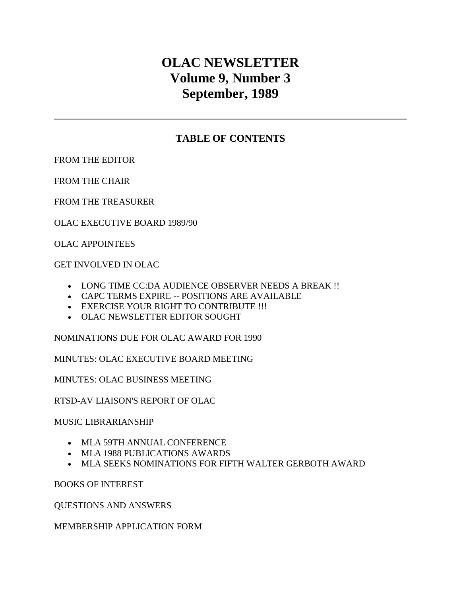# **OLAC NEWSLETTER Volume 9, Number 3 September, 1989**

# **TABLE OF CONTENTS**

[FROM THE EDITOR](http://ublib.buffalo.edu/libraries/units/cts/olac/newsletters/sept89.html#editor)

[FROM THE CHAIR](http://ublib.buffalo.edu/libraries/units/cts/olac/newsletters/sept89.html#chair)

[FROM THE TREASURER](http://ublib.buffalo.edu/libraries/units/cts/olac/newsletters/sept89.html#treasurer)

[OLAC EXECUTIVE BOARD 1989/90](http://ublib.buffalo.edu/libraries/units/cts/olac/newsletters/sept89.html#board_members)

[OLAC APPOINTEES](http://ublib.buffalo.edu/libraries/units/cts/olac/newsletters/sept89.html#appointees)

[GET INVOLVED IN OLAC](http://ublib.buffalo.edu/libraries/units/cts/olac/newsletters/sept89.html#involved)

- [LONG TIME CC:DA AUDIENCE OBSERVER NEEDS A BREAK !!](http://ublib.buffalo.edu/libraries/units/cts/olac/newsletters/sept89.html#ccda)
- CAPC TERMS EXPIRE -- [POSITIONS ARE AVAILABLE](http://ublib.buffalo.edu/libraries/units/cts/olac/newsletters/sept89.html#capc)
- [EXERCISE YOUR RIGHT TO CONTRIBUTE !!!](http://ublib.buffalo.edu/libraries/units/cts/olac/newsletters/sept89.html#exercise)
- OLAC [NEWSLETTER EDITOR SOUGHT](http://ublib.buffalo.edu/libraries/units/cts/olac/newsletters/sept89.html#editor_needed)

[NOMINATIONS DUE FOR OLAC AWARD FOR 1990](http://ublib.buffalo.edu/libraries/units/cts/olac/newsletters/sept89.html#award)

[MINUTES: OLAC EXECUTIVE BOARD MEETING](http://ublib.buffalo.edu/libraries/units/cts/olac/newsletters/sept89.html#board)

[MINUTES: OLAC BUSINESS MEETING](http://ublib.buffalo.edu/libraries/units/cts/olac/newsletters/sept89.html#business)

[RTSD-AV LIAISON'S REPORT OF OLAC](http://ublib.buffalo.edu/libraries/units/cts/olac/newsletters/sept89.html#rtsd_av)

[MUSIC LIBRARIANSHIP](http://ublib.buffalo.edu/libraries/units/cts/olac/newsletters/sept89.html#music)

- [MLA 59TH ANNUAL CONFERENCE](http://ublib.buffalo.edu/libraries/units/cts/olac/newsletters/sept89.html#conference)
- [MLA 1988 PUBLICATIONS AWARDS](http://ublib.buffalo.edu/libraries/units/cts/olac/newsletters/sept89.html#publications)
- [MLA SEEKS NOMINATIONS FOR FIFTH WALTER GERBOTH AWARD](http://ublib.buffalo.edu/libraries/units/cts/olac/newsletters/sept89.html#mla_award)

[BOOKS OF INTEREST](http://ublib.buffalo.edu/libraries/units/cts/olac/newsletters/sept89.html#books)

[QUESTIONS AND ANSWERS](http://ublib.buffalo.edu/libraries/units/cts/olac/newsletters/sept89.html#q&a)

[MEMBERSHIP APPLICATION FORM](http://ublib.buffalo.edu/libraries/units/cts/olac/newsletters/sept89.html#form)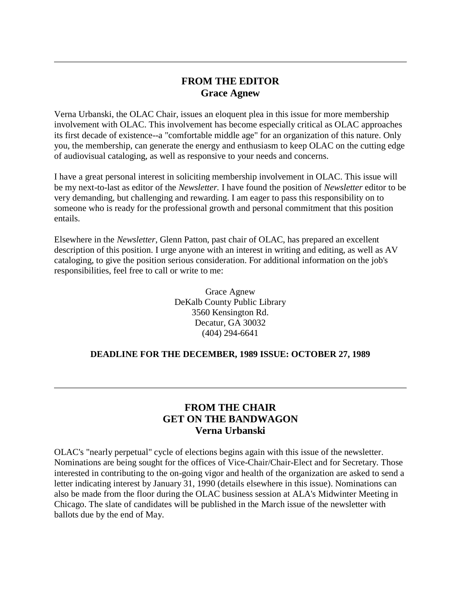# **FROM THE EDITOR Grace Agnew**

Verna Urbanski, the OLAC Chair, issues an eloquent plea in this issue for more membership involvement with OLAC. This involvement has become especially critical as OLAC approaches its first decade of existence--a "comfortable middle age" for an organization of this nature. Only you, the membership, can generate the energy and enthusiasm to keep OLAC on the cutting edge of audiovisual cataloging, as well as responsive to your needs and concerns.

I have a great personal interest in soliciting membership involvement in OLAC. This issue will be my next-to-last as editor of the *Newsletter.* I have found the position of *Newsletter* editor to be very demanding, but challenging and rewarding. I am eager to pass this responsibility on to someone who is ready for the professional growth and personal commitment that this position entails.

Elsewhere in the *Newsletter*, Glenn Patton, past chair of OLAC, has prepared an excellent description of this position. I urge anyone with an interest in writing and editing, as well as AV cataloging, to give the position serious consideration. For additional information on the job's responsibilities, feel free to call or write to me:

> Grace Agnew DeKalb County Public Library 3560 Kensington Rd. Decatur, GA 30032 (404) 294-6641

### **DEADLINE FOR THE [DECEMBER, 1989](http://ublib.buffalo.edu/libraries/units/cts/olac/newsletters/dec89.html) ISSUE: OCTOBER 27, 1989**

# **FROM THE CHAIR GET ON THE BANDWAGON Verna Urbanski**

OLAC's "nearly perpetual" cycle of elections begins again with this issue of the newsletter. Nominations are being sought for the offices of Vice-Chair/Chair-Elect and for Secretary. Those interested in contributing to the on-going vigor and health of the organization are asked to send a letter indicating interest by January 31, 1990 (details [elsewhere in this issue\)](http://ublib.buffalo.edu/libraries/units/cts/olac/newsletters/sept89.html#exercise). Nominations can also be made from the floor during the OLAC business session at ALA's Midwinter Meeting in Chicago. The slate of candidates will be published in the [March issue](http://ublib.buffalo.edu/libraries/units/cts/olac/newsletters/mar90.html#elections) of the newsletter with ballots due by the end of May.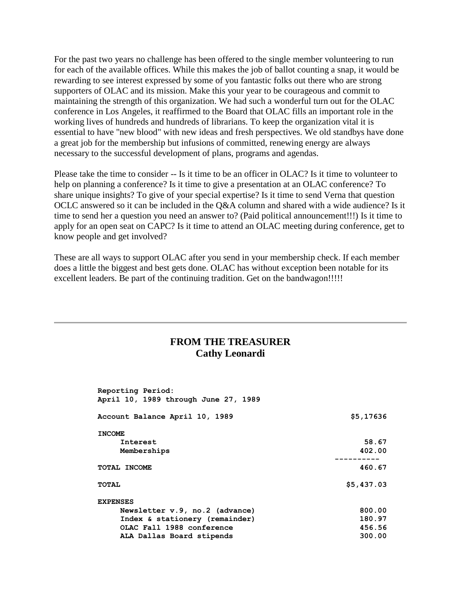For the past two years no challenge has been offered to the single member volunteering to run for each of the available offices. While this makes the job of ballot counting a snap, it would be rewarding to see interest expressed by some of you fantastic folks out there who are strong supporters of OLAC and its mission. Make this your year to be courageous and commit to maintaining the strength of this organization. We had such a wonderful turn out for the OLAC conference in Los Angeles, it reaffirmed to the Board that OLAC fills an important role in the working lives of hundreds and hundreds of librarians. To keep the organization vital it is essential to have "new blood" with new ideas and fresh perspectives. We old standbys have done a great job for the membership but infusions of committed, renewing energy are always necessary to the successful development of plans, programs and agendas.

Please take the time to consider -- Is it time to be an officer in OLAC? Is it time to volunteer to help on planning a conference? Is it time to give a presentation at an OLAC conference? To share unique insights? To give of your special expertise? Is it time to send Verna that question OCLC answered so it can be included in the Q&A column and shared with a wide audience? Is it time to send her a question you need an answer to? (Paid political announcement!!!) Is it time to apply for an open seat on CAPC? Is it time to attend an OLAC meeting during conference, get to know people and get involved?

These are all ways to support OLAC after you send in your membership check. If each member does a little the biggest and best gets done. OLAC has without exception been notable for its excellent leaders. Be part of the continuing tradition. Get on the bandwagon!!!!!

### **FROM THE TREASURER Cathy Leonardi**

| Reporting Period:<br>April 10, 1989 through June 27, 1989 |                   |
|-----------------------------------------------------------|-------------------|
| Account Balance April 10, 1989                            | \$5,17636         |
| <b>INCOME</b>                                             |                   |
| Interest                                                  | 58.67             |
| Memberships                                               | 402.00            |
|                                                           | . - - - - - - - . |
| TOTAL INCOME                                              | 460.67            |
| <b>TOTAL</b>                                              | \$5,437.03        |
| <b>EXPENSES</b>                                           |                   |
| Newsletter v.9, no.2 (advance)                            | 800.00            |
| Index & stationery (remainder)                            | 180.97            |
| OLAC Fall 1988 conference                                 | 456.56            |
| ALA Dallas Board stipends                                 | 300.00            |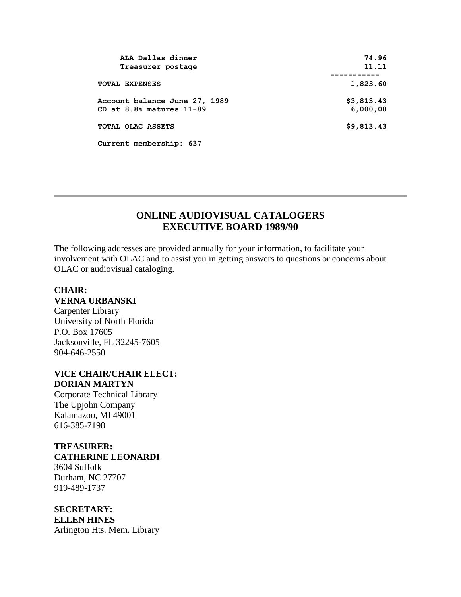| ALA Dallas dinner               | 74.96      |
|---------------------------------|------------|
| Treasurer postage               | 11.11      |
|                                 |            |
| <b>TOTAL EXPENSES</b>           | 1,823.60   |
| Account balance June 27, 1989   | \$3,813.43 |
| $CD$ at $8.8$ % matures $11-89$ | 6,000,00   |
| TOTAL OLAC ASSETS               | \$9,813.43 |
| Current membership: 637         |            |

### **ONLINE AUDIOVISUAL CATALOGERS EXECUTIVE BOARD 1989/90**

The following addresses are provided annually for your information, to facilitate your involvement with OLAC and to assist you in getting answers to questions or concerns about OLAC or audiovisual cataloging.

# **CHAIR: VERNA URBANSKI**

Carpenter Library University of North Florida P.O. Box 17605 Jacksonville, FL 32245-7605 904-646-2550

#### **VICE CHAIR/CHAIR ELECT: DORIAN MARTYN**

Corporate Technical Library The Upjohn Company Kalamazoo, MI 49001 616-385-7198

# **TREASURER:**

### **CATHERINE LEONARDI**

3604 Suffolk Durham, NC 27707 919-489-1737

# **SECRETARY:**

**ELLEN HINES** Arlington Hts. Mem. Library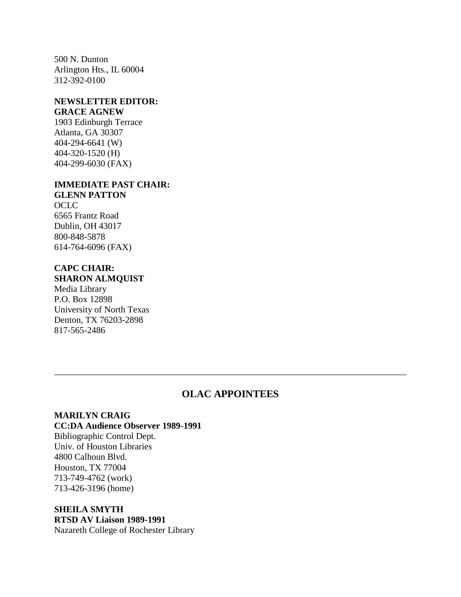500 N. Dunton Arlington Hts., IL 60004 312-392-0100

#### **NEWSLETTER EDITOR: GRACE AGNEW**

1903 Edinburgh Terrace Atlanta, GA 30307 404-294-6641 (W) 404-320-1520 (H) 404-299-6030 (FAX)

#### **IMMEDIATE PAST CHAIR: GLENN PATTON**

OCLC 6565 Frantz Road Dublin, OH 43017 800-848-5878 614-764-6096 (FAX)

#### **CAPC CHAIR: SHARON ALMQUIST**

Media Library P.O. Box 12898 University of North Texas Denton, TX 76203-2898 817-565-2486

#### **OLAC APPOINTEES**

# **MARILYN CRAIG**

#### **CC:DA Audience Observer 1989-1991**

Bibliographic Control Dept. Univ. of Houston Libraries 4800 Calhoun Blvd. Houston, TX 77004 713-749-4762 (work) 713-426-3196 (home)

#### **SHEILA SMYTH RTSD AV Liaison 1989-1991** Nazareth College of Rochester Library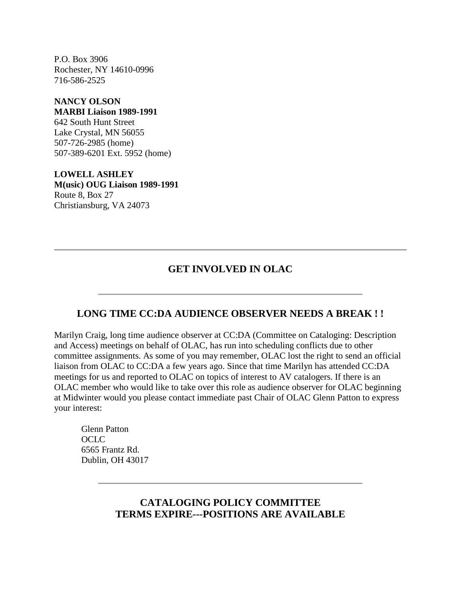P.O. Box 3906 Rochester, NY 14610-0996 716-586-2525

**NANCY OLSON MARBI Liaison 1989-1991** 642 South Hunt Street Lake Crystal, MN 56055 507-726-2985 (home) 507-389-6201 Ext. 5952 (home)

**LOWELL ASHLEY M(usic) OUG Liaison 1989-1991** Route 8, Box 27 Christiansburg, VA 24073

### **GET INVOLVED IN OLAC**

#### **LONG TIME CC:DA AUDIENCE OBSERVER NEEDS A BREAK ! !**

Marilyn Craig, long time audience observer at CC:DA (Committee on Cataloging: Description and Access) meetings on behalf of OLAC, has run into scheduling conflicts due to other committee assignments. As some of you may remember, OLAC lost the right to send an official liaison from OLAC to CC:DA a few years ago. Since that time Marilyn has attended CC:DA meetings for us and reported to OLAC on topics of interest to AV catalogers. If there is an OLAC member who would like to take over this role as audience observer for OLAC beginning at Midwinter would you please contact immediate past Chair of OLAC Glenn Patton to express your interest:

Glenn Patton OCLC. 6565 Frantz Rd. Dublin, OH 43017

> **CATALOGING POLICY COMMITTEE TERMS EXPIRE---POSITIONS ARE AVAILABLE**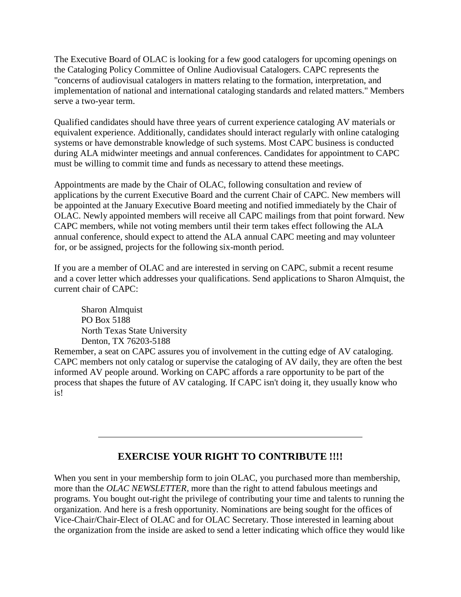The Executive Board of OLAC is looking for a few good catalogers for upcoming openings on the Cataloging Policy Committee of Online Audiovisual Catalogers. CAPC represents the "concerns of audiovisual catalogers in matters relating to the formation, interpretation, and implementation of national and international cataloging standards and related matters." Members serve a two-year term.

Qualified candidates should have three years of current experience cataloging AV materials or equivalent experience. Additionally, candidates should interact regularly with online cataloging systems or have demonstrable knowledge of such systems. Most CAPC business is conducted during ALA midwinter meetings and annual conferences. Candidates for appointment to CAPC must be willing to commit time and funds as necessary to attend these meetings.

Appointments are made by the Chair of OLAC, following consultation and review of applications by the current Executive Board and the current Chair of CAPC. New members will be appointed at the January Executive Board meeting and notified immediately by the Chair of OLAC. Newly appointed members will receive all CAPC mailings from that point forward. New CAPC members, while not voting members until their term takes effect following the ALA annual conference, should expect to attend the ALA annual CAPC meeting and may volunteer for, or be assigned, projects for the following six-month period.

If you are a member of OLAC and are interested in serving on CAPC, submit a recent resume and a cover letter which addresses your qualifications. Send applications to Sharon Almquist, the current chair of CAPC:

Sharon Almquist PO Box 5188 North Texas State University Denton, TX 76203-5188

Remember, a seat on CAPC assures you of involvement in the cutting edge of AV cataloging. CAPC members not only catalog or supervise the cataloging of AV daily, they are often the best informed AV people around. Working on CAPC affords a rare opportunity to be part of the process that shapes the future of AV cataloging. If CAPC isn't doing it, they usually know who is!

# **EXERCISE YOUR RIGHT TO CONTRIBUTE !!!!**

When you sent in your membership form to join OLAC, you purchased more than membership, more than the *OLAC NEWSLETTER*, more than the right to attend fabulous meetings and programs. You bought out-right the privilege of contributing your time and talents to running the organization. And here is a fresh opportunity. Nominations are being sought for the offices of Vice-Chair/Chair-Elect of OLAC and for OLAC Secretary. Those interested in learning about the organization from the inside are asked to send a letter indicating which office they would like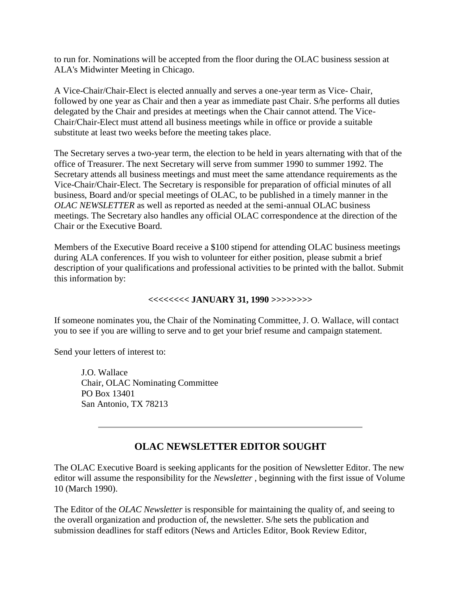to run for. Nominations will be accepted from the floor during the OLAC business session at ALA's Midwinter Meeting in Chicago.

A Vice-Chair/Chair-Elect is elected annually and serves a one-year term as Vice- Chair, followed by one year as Chair and then a year as immediate past Chair. S/he performs all duties delegated by the Chair and presides at meetings when the Chair cannot attend. The Vice-Chair/Chair-Elect must attend all business meetings while in office or provide a suitable substitute at least two weeks before the meeting takes place.

The Secretary serves a two-year term, the election to be held in years alternating with that of the office of Treasurer. The next Secretary will serve from summer 1990 to summer 1992. The Secretary attends all business meetings and must meet the same attendance requirements as the Vice-Chair/Chair-Elect. The Secretary is responsible for preparation of official minutes of all business, Board and/or special meetings of OLAC, to be published in a timely manner in the *OLAC NEWSLETTER* as well as reported as needed at the semi-annual OLAC business meetings. The Secretary also handles any official OLAC correspondence at the direction of the Chair or the Executive Board.

Members of the Executive Board receive a \$100 stipend for attending OLAC business meetings during ALA conferences. If you wish to volunteer for either position, please submit a brief description of your qualifications and professional activities to be printed with the ballot. Submit this information by:

#### **<<<<<<<< JANUARY 31, 1990 >>>>>>>>**

If someone nominates you, the Chair of the Nominating Committee, J. O. Wallace, will contact you to see if you are willing to serve and to get your brief resume and campaign statement.

Send your letters of interest to:

J.O. Wallace Chair, OLAC Nominating Committee PO Box 13401 San Antonio, TX 78213

# **OLAC NEWSLETTER EDITOR SOUGHT**

The OLAC Executive Board is seeking applicants for the position of Newsletter Editor. The new editor will assume the responsibility for the *Newsletter* , beginning with the first issue of Volume 10 (March 1990).

The Editor of the *OLAC Newsletter* is responsible for maintaining the quality of, and seeing to the overall organization and production of, the newsletter. S/he sets the publication and submission deadlines for staff editors (News and Articles Editor, Book Review Editor,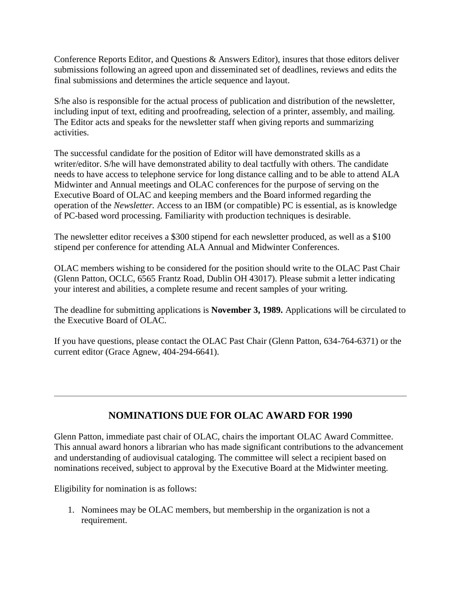Conference Reports Editor, and Questions & Answers Editor), insures that those editors deliver submissions following an agreed upon and disseminated set of deadlines, reviews and edits the final submissions and determines the article sequence and layout.

S/he also is responsible for the actual process of publication and distribution of the newsletter, including input of text, editing and proofreading, selection of a printer, assembly, and mailing. The Editor acts and speaks for the newsletter staff when giving reports and summarizing activities.

The successful candidate for the position of Editor will have demonstrated skills as a writer/editor. S/he will have demonstrated ability to deal tactfully with others. The candidate needs to have access to telephone service for long distance calling and to be able to attend ALA Midwinter and Annual meetings and OLAC conferences for the purpose of serving on the Executive Board of OLAC and keeping members and the Board informed regarding the operation of the *Newsletter.* Access to an IBM (or compatible) PC is essential, as is knowledge of PC-based word processing. Familiarity with production techniques is desirable.

The newsletter editor receives a \$300 stipend for each newsletter produced, as well as a \$100 stipend per conference for attending ALA Annual and Midwinter Conferences.

OLAC members wishing to be considered for the position should write to the OLAC Past Chair (Glenn Patton, OCLC, 6565 Frantz Road, Dublin OH 43017). Please submit a letter indicating your interest and abilities, a complete resume and recent samples of your writing.

The deadline for submitting applications is **November 3, 1989.** Applications will be circulated to the Executive Board of OLAC.

If you have questions, please contact the OLAC Past Chair (Glenn Patton, 634-764-6371) or the current editor (Grace Agnew, 404-294-6641).

# **NOMINATIONS DUE FOR OLAC AWARD FOR 1990**

Glenn Patton, immediate past chair of OLAC, chairs the important OLAC Award Committee. This annual award honors a librarian who has made significant contributions to the advancement and understanding of audiovisual cataloging. The committee will select a recipient based on nominations received, subject to approval by the Executive Board at the Midwinter meeting.

Eligibility for nomination is as follows:

1. Nominees may be OLAC members, but membership in the organization is not a requirement.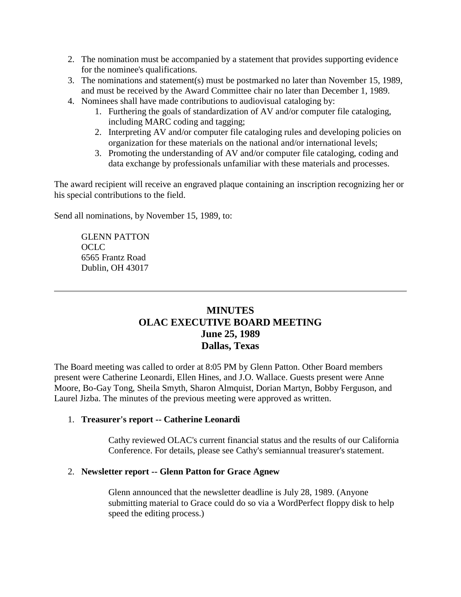- 2. The nomination must be accompanied by a statement that provides supporting evidence for the nominee's qualifications.
- 3. The nominations and statement(s) must be postmarked no later than November 15, 1989, and must be received by the Award Committee chair no later than December 1, 1989.
- 4. Nominees shall have made contributions to audiovisual cataloging by:
	- 1. Furthering the goals of standardization of AV and/or computer file cataloging, including MARC coding and tagging;
	- 2. Interpreting AV and/or computer file cataloging rules and developing policies on organization for these materials on the national and/or international levels;
	- 3. Promoting the understanding of AV and/or computer file cataloging, coding and data exchange by professionals unfamiliar with these materials and processes.

The award recipient will receive an engraved plaque containing an inscription recognizing her or his special contributions to the field.

Send all nominations, by November 15, 1989, to:

GLENN PATTON OCLC. 6565 Frantz Road Dublin, OH 43017

# **MINUTES OLAC EXECUTIVE BOARD MEETING June 25, 1989 Dallas, Texas**

The Board meeting was called to order at 8:05 PM by Glenn Patton. Other Board members present were Catherine Leonardi, Ellen Hines, and J.O. Wallace. Guests present were Anne Moore, Bo-Gay Tong, Sheila Smyth, Sharon Almquist, Dorian Martyn, Bobby Ferguson, and Laurel Jizba. The [minutes](http://ublib.buffalo.edu/libraries/units/cts/olac/newsletters/mar89.html#board) of the previous meeting were approved as written.

#### 1. **Treasurer's report -- Catherine Leonardi**

Cathy reviewed OLAC's current financial status and the results of our California Conference. For details, please see Cathy's semiannual treasurer's statement.

#### 2. **Newsletter report -- Glenn Patton for Grace Agnew**

Glenn announced that the newsletter deadline is July 28, 1989. (Anyone submitting material to Grace could do so via a WordPerfect floppy disk to help speed the editing process.)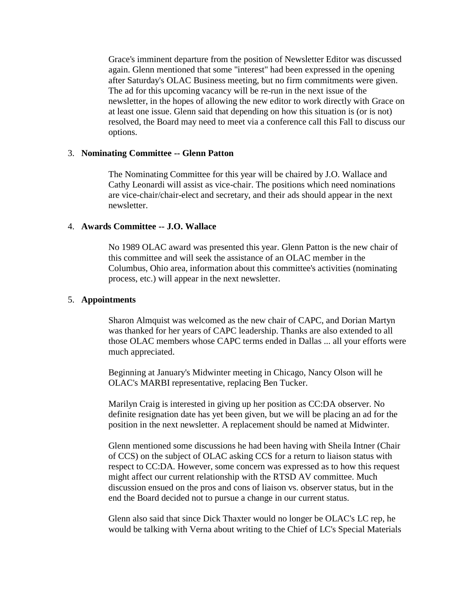Grace's imminent departure from the position of Newsletter Editor was discussed again. Glenn mentioned that some "interest" had been expressed in the opening after Saturday's OLAC Business meeting, but no firm commitments were given. The [ad for this upcoming vacancy](http://ublib.buffalo.edu/libraries/units/cts/olac/newsletters/sept89.html#editor_needed) will be re-run in the next issue of the newsletter, in the hopes of allowing the new editor to work directly with Grace on at least one issue. Glenn said that depending on how this situation is (or is not) resolved, the Board may need to meet via a conference call this Fall to discuss our options.

#### 3. **Nominating Committee -- Glenn Patton**

The Nominating Committee for this year will be chaired by J.O. Wallace and Cathy Leonardi will assist as vice-chair. The positions which need nominations are vice-chair/chair-elect and secretary, and their [ads](http://ublib.buffalo.edu/libraries/units/cts/olac/newsletters/sept89.html#exercise) should appear in the next newsletter.

#### 4. **Awards Committee -- J.O. Wallace**

No 1989 OLAC award was presented this year. Glenn Patton is the new chair of this committee and will seek the assistance of an OLAC member in the Columbus, Ohio area, information about this [committee's activities](http://ublib.buffalo.edu/libraries/units/cts/olac/newsletters/sept89.html#award) (nominating process, etc.) will appear in the next newsletter.

#### 5. **Appointments**

Sharon Almquist was welcomed as the new chair of CAPC, and Dorian Martyn was thanked for her years of CAPC leadership. Thanks are also extended to all those OLAC members whose CAPC terms ended in Dallas ... all your efforts were much appreciated.

Beginning at January's Midwinter meeting in Chicago, Nancy Olson will he OLAC's MARBI representative, replacing Ben Tucker.

Marilyn Craig is interested in giving up her position as CC:DA observer. No definite resignation date has yet been given, but we will be placing an [ad for the](http://ublib.buffalo.edu/libraries/units/cts/olac/newsletters/sept89.html#ccda)  [position](http://ublib.buffalo.edu/libraries/units/cts/olac/newsletters/sept89.html#ccda) in the next newsletter. A replacement should be named at Midwinter.

Glenn mentioned some discussions he had been having with Sheila Intner (Chair of CCS) on the subject of OLAC asking CCS for a return to liaison status with respect to CC:DA. However, some concern was expressed as to how this request might affect our current relationship with the RTSD AV committee. Much discussion ensued on the pros and cons of liaison vs. observer status, but in the end the Board decided not to pursue a change in our current status.

Glenn also said that since Dick Thaxter would no longer be OLAC's LC rep, he would be talking with Verna about writing to the Chief of LC's Special Materials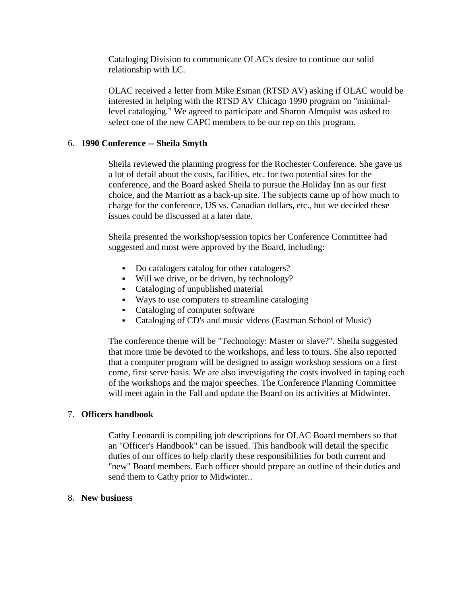Cataloging Division to communicate OLAC's desire to continue our solid relationship with LC.

OLAC received a letter from Mike Esman (RTSD AV) asking if OLAC would be interested in helping with the RTSD AV Chicago 1990 program on "minimallevel cataloging." We agreed to participate and Sharon Almquist was asked to select one of the new CAPC members to be our rep on this program.

#### 6. **1990 Conference -- Sheila Smyth**

Sheila reviewed the planning progress for the Rochester Conference. She gave us a lot of detail about the costs, facilities, etc. for two potential sites for the conference, and the Board asked Sheila to pursue the Holiday Inn as our first choice, and the Marriott as a back-up site. The subjects came up of how much to charge for the conference, US vs. Canadian dollars, etc., but we decided these issues could be discussed at a later date.

Sheila presented the workshop/session topics her Conference Committee had suggested and most were approved by the Board, including:

- Do catalogers catalog for other catalogers?
- Will we drive, or be driven, by technology?
- Cataloging of unpublished material
- Ways to use computers to streamline cataloging
- Cataloging of computer software
- Cataloging of CD's and music videos (Eastman School of Music)

The conference theme will be "Technology: Master or slave?". Sheila suggested that more time be devoted to the workshops, and less to tours. She also reported that a computer program will be designed to assign workshop sessions on a first come, first serve basis. We are also investigating the costs involved in taping each of the workshops and the major speeches. The Conference Planning Committee will meet again in the Fall and update the Board on its activities at Midwinter.

#### 7. **Officers handbook**

Cathy Leonardi is compiling job descriptions for OLAC Board members so that an "Officer's Handbook" can be issued. This handbook will detail the specific duties of our offices to help clarify these responsibilities for both current and "new" Board members. Each officer should prepare an outline of their duties and send them to Cathy prior to Midwinter..

#### 8. **New business**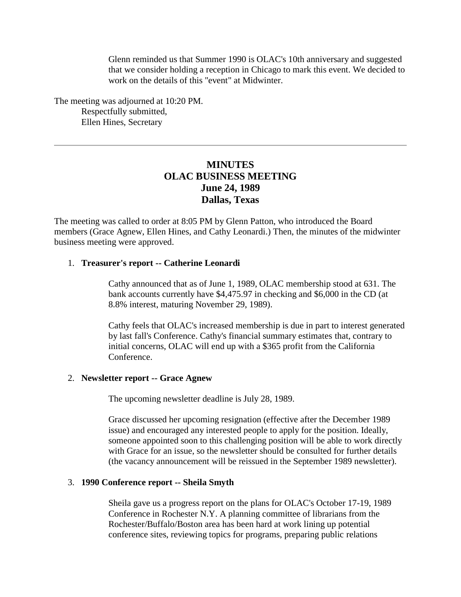Glenn reminded us that Summer 1990 is OLAC's 10th anniversary and suggested that we consider holding a reception in Chicago to mark this event. We decided to work on the details of this "event" at Midwinter.

The meeting was adjourned at 10:20 PM. Respectfully submitted, Ellen Hines, Secretary

# **MINUTES OLAC BUSINESS MEETING June 24, 1989 Dallas, Texas**

The meeting was called to order at 8:05 PM by Glenn Patton, who introduced the Board members (Grace Agnew, Ellen Hines, and Cathy Leonardi.) Then, the minutes of the midwinter business meeting were approved.

#### 1. **Treasurer's report -- Catherine Leonardi**

Cathy announced that as of June 1, 1989, OLAC membership stood at 631. The bank accounts currently have \$4,475.97 in checking and \$6,000 in the CD (at 8.8% interest, maturing November 29, 1989).

Cathy feels that OLAC's increased membership is due in part to interest generated by last fall's Conference. Cathy's financial summary estimates that, contrary to initial concerns, OLAC will end up with a \$365 profit from the California Conference.

#### 2. **Newsletter report -- Grace Agnew**

The upcoming newsletter deadline is July 28, 1989.

Grace discussed her upcoming resignation (effective after the December 1989 issue) and encouraged any interested people to apply for the position. Ideally, someone appointed soon to this challenging position will be able to work directly with Grace for an issue, so the newsletter should be consulted for further details (the [vacancy announcement](http://ublib.buffalo.edu/libraries/units/cts/olac/newsletters/sept89.html#editor_needed) will be reissued in the September 1989 newsletter).

#### 3. **1990 Conference report -- Sheila Smyth**

Sheila gave us a progress report on the plans for OLAC's October 17-19, 1989 Conference in Rochester N.Y. A planning committee of librarians from the Rochester/Buffalo/Boston area has been hard at work lining up potential conference sites, reviewing topics for programs, preparing public relations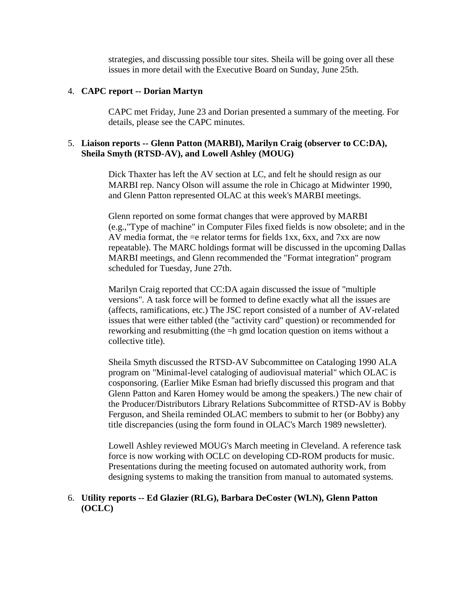strategies, and discussing possible tour sites. Sheila will be going over all these issues in more detail with the Executive Board on Sunday, June 25th.

#### 4. **CAPC report -- Dorian Martyn**

CAPC met Friday, June 23 and Dorian presented a summary of the meeting. For details, please see the CAPC minutes.

#### 5. **Liaison reports -- Glenn Patton (MARBI), Marilyn Craig (observer to CC:DA), Sheila Smyth (RTSD-AV), and Lowell Ashley (MOUG)**

Dick Thaxter has left the AV section at LC, and felt he should resign as our MARBI rep. Nancy Olson will assume the role in Chicago at Midwinter 1990, and Glenn Patton represented OLAC at this week's MARBI meetings.

Glenn reported on some format changes that were approved by MARBI (e.g.,"Type of machine" in Computer Files fixed fields is now obsolete; and in the AV media format, the  $=$ e relator terms for fields 1xx, 6xx, and 7xx are now repeatable). The MARC holdings format will be discussed in the upcoming Dallas MARBI meetings, and Glenn recommended the "Format integration" program scheduled for Tuesday, June 27th.

Marilyn Craig reported that CC:DA again discussed the issue of "multiple versions". A task force will be formed to define exactly what all the issues are (affects, ramifications, etc.) The JSC report consisted of a number of AV-related issues that were either tabled (the "activity card" question) or recommended for reworking and resubmitting (the =h gmd location question on items without a collective title).

Sheila Smyth discussed the RTSD-AV Subcommittee on Cataloging 1990 ALA program on "Minimal-level cataloging of audiovisual material" which OLAC is cosponsoring. (Earlier Mike Esman had briefly discussed this program and that Glenn Patton and Karen Homey would be among the speakers.) The new chair of the Producer/Distributors Library Relations Subcommittee of RTSD-AV is Bobby Ferguson, and Sheila reminded OLAC members to submit to her (or Bobby) any title discrepancies (using the form found in OLAC's March 1989 newsletter).

Lowell Ashley reviewed MOUG's March meeting in Cleveland. A reference task force is now working with OCLC on developing CD-ROM products for music. Presentations during the meeting focused on automated authority work, from designing systems to making the transition from manual to automated systems.

#### 6. **Utility reports -- Ed Glazier (RLG), Barbara DeCoster (WLN), Glenn Patton (OCLC)**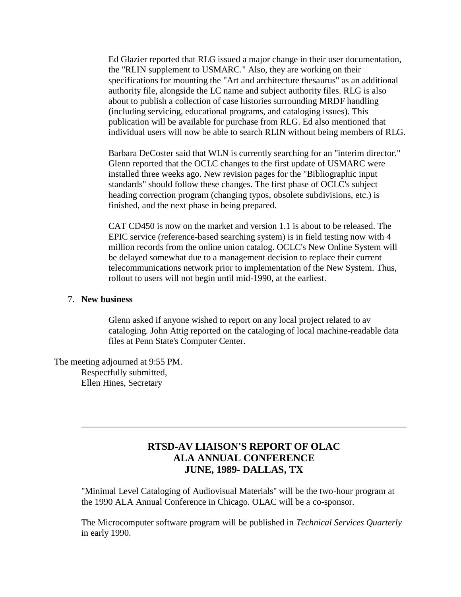Ed Glazier reported that RLG issued a major change in their user documentation, the "RLIN supplement to USMARC." Also, they are working on their specifications for mounting the "Art and architecture thesaurus" as an additional authority file, alongside the LC name and subject authority files. RLG is also about to publish a collection of case histories surrounding MRDF handling (including servicing, educational programs, and cataloging issues). This publication will be available for purchase from RLG. Ed also mentioned that individual users will now be able to search RLIN without being members of RLG.

Barbara DeCoster said that WLN is currently searching for an "interim director." Glenn reported that the OCLC changes to the first update of USMARC were installed three weeks ago. New revision pages for the "Bibliographic input standards" should follow these changes. The first phase of OCLC's subject heading correction program (changing typos, obsolete subdivisions, etc.) is finished, and the next phase in being prepared.

CAT CD450 is now on the market and version 1.1 is about to be released. The EPIC service (reference-based searching system) is in field testing now with 4 million records from the online union catalog. OCLC's New Online System will be delayed somewhat due to a management decision to replace their current telecommunications network prior to implementation of the New System. Thus, rollout to users will not begin until mid-1990, at the earliest.

#### 7. **New business**

Glenn asked if anyone wished to report on any local project related to av cataloging. John Attig reported on the cataloging of local machine-readable data files at Penn State's Computer Center.

The meeting adjourned at 9:55 PM. Respectfully submitted, Ellen Hines, Secretary

# **RTSD-AV LIAISON'S REPORT OF OLAC ALA ANNUAL CONFERENCE JUNE, 1989- DALLAS, TX**

"Minimal Level Cataloging of Audiovisual Materials" will be the two-hour program at the 1990 ALA Annual Conference in Chicago. OLAC will be a co-sponsor.

The Microcomputer software program will be published in *Technical Services Quarterly* in early 1990.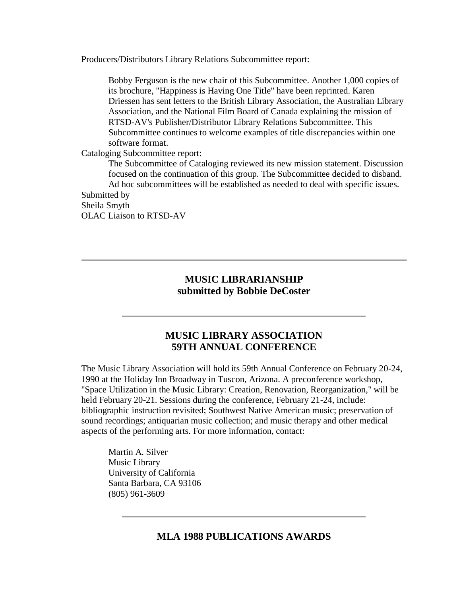Producers/Distributors Library Relations Subcommittee report:

Bobby Ferguson is the new chair of this Subcommittee. Another 1,000 copies of its brochure, "Happiness is Having One Title" have been reprinted. Karen Driessen has sent letters to the British Library Association, the Australian Library Association, and the National Film Board of Canada explaining the mission of RTSD-AV's Publisher/Distributor Library Relations Subcommittee. This Subcommittee continues to welcome examples of title discrepancies within one software format.

Cataloging Subcommittee report:

The Subcommittee of Cataloging reviewed its new mission statement. Discussion focused on the continuation of this group. The Subcommittee decided to disband. Ad hoc subcommittees will be established as needed to deal with specific issues. Submitted by Sheila Smyth

OLAC Liaison to RTSD-AV

# **MUSIC LIBRARIANSHIP submitted by Bobbie DeCoster**

# **MUSIC LIBRARY ASSOCIATION 59TH ANNUAL CONFERENCE**

The Music Library Association will hold its 59th Annual Conference on February 20-24, 1990 at the Holiday Inn Broadway in Tuscon, Arizona. A preconference workshop, "Space Utilization in the Music Library: Creation, Renovation, Reorganization," will be held February 20-21. Sessions during the conference, February 21-24, include: bibliographic instruction revisited; Southwest Native American music; preservation of sound recordings; antiquarian music collection; and music therapy and other medical aspects of the performing arts. For more information, contact:

Martin A. Silver Music Library University of California Santa Barbara, CA 93106 (805) 961-3609

# **MLA 1988 PUBLICATIONS AWARDS**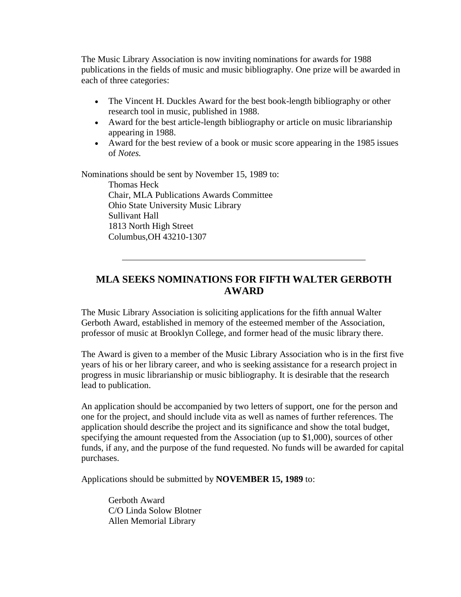The Music Library Association is now inviting nominations for awards for 1988 publications in the fields of music and music bibliography. One prize will be awarded in each of three categories:

- The Vincent H. Duckles Award for the best book-length bibliography or other research tool in music, published in 1988.
- Award for the best article-length bibliography or article on music librarianship appearing in 1988.
- Award for the best review of a book or music score appearing in the 1985 issues of *Notes.*

Nominations should be sent by November 15, 1989 to:

Thomas Heck Chair, MLA Publications Awards Committee Ohio State University Music Library Sullivant Hall 1813 North High Street Columbus,OH 43210-1307

# **MLA SEEKS NOMINATIONS FOR FIFTH WALTER GERBOTH AWARD**

The Music Library Association is soliciting applications for the fifth annual Walter Gerboth Award, established in memory of the esteemed member of the Association, professor of music at Brooklyn College, and former head of the music library there.

The Award is given to a member of the Music Library Association who is in the first five years of his or her library career, and who is seeking assistance for a research project in progress in music librarianship or music bibliography. It is desirable that the research lead to publication.

An application should be accompanied by two letters of support, one for the person and one for the project, and should include vita as well as names of further references. The application should describe the project and its significance and show the total budget, specifying the amount requested from the Association (up to \$1,000), sources of other funds, if any, and the purpose of the fund requested. No funds will be awarded for capital purchases.

Applications should be submitted by **NOVEMBER 15, 1989** to:

Gerboth Award C/O Linda Solow Blotner Allen Memorial Library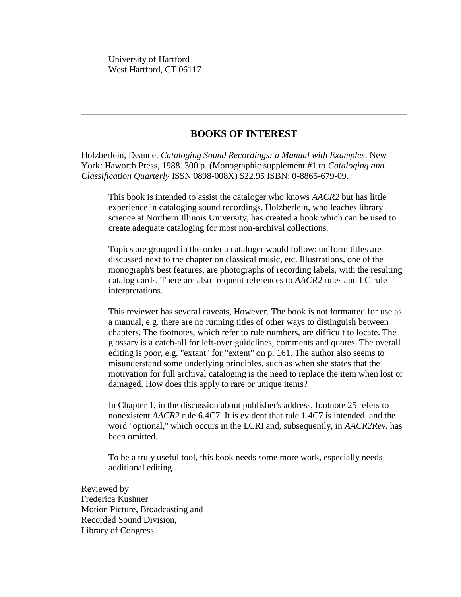University of Hartford West Hartford, CT 06117

### **BOOKS OF INTEREST**

Holzberlein, Deanne. *Cataloging Sound Recordings: a Manual with Examples*. New York: Haworth Press, 1988. 300 p. (Monographic supplement #1 to *Cataloging and Classification Quarterly* ISSN 0898-008X) \$22.95 ISBN: 0-8865-679-09.

This book is intended to assist the cataloger who knows *AACR2* but has little experience in cataloging sound recordings. Holzberlein, who leaches library science at Northern Illinois University, has created a book which can be used to create adequate cataloging for most non-archival collections.

Topics are grouped in the order a cataloger would follow: uniform titles are discussed next to the chapter on classical music, etc. Illustrations, one of the monograph's best features, are photographs of recording labels, with the resulting catalog cards. There are also frequent references to *AACR2* rules and LC rule interpretations.

This reviewer has several caveats, However. The book is not formatted for use as a manual, e.g. there are no running titles of other ways to distinguish between chapters. The footnotes, which refer to rule numbers, are difficult to locate. The glossary is a catch-all for left-over guidelines, comments and quotes. The overall editing is poor, e.g. "extant" for "extent" on p. 161. The author also seems to misunderstand some underlying principles, such as when she states that the motivation for full archival cataloging is the need to replace the item when lost or damaged. How does this apply to rare or unique items?

In Chapter 1, in the discussion about publisher's address, footnote 25 refers to nonexistent *AACR2* rule 6.4C7. It is evident that rule 1.4C7 is intended, and the word "optional," which occurs in the LCRI and, subsequently, in *AACR2Rev.* has been omitted.

To be a truly useful tool, this book needs some more work, especially needs additional editing.

Reviewed by Frederica Kushner Motion Picture, Broadcasting and Recorded Sound Division, Library of Congress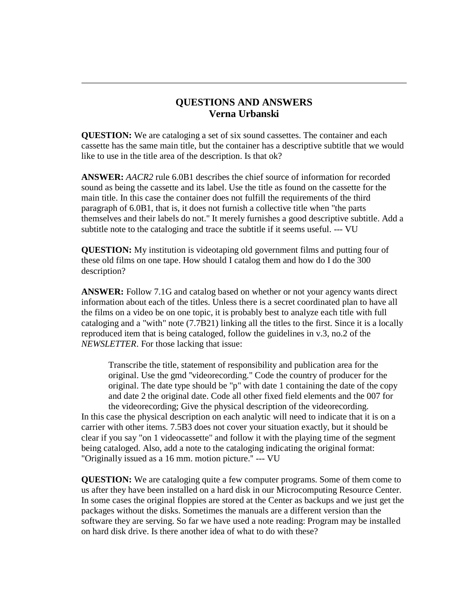# **QUESTIONS AND ANSWERS Verna Urbanski**

**QUESTION:** We are cataloging a set of six sound cassettes. The container and each cassette has the same main title, but the container has a descriptive subtitle that we would like to use in the title area of the description. Is that ok?

**ANSWER:** *AACR2* rule 6.0B1 describes the chief source of information for recorded sound as being the cassette and its label. Use the title as found on the cassette for the main title. In this case the container does not fulfill the requirements of the third paragraph of 6.0B1, that is, it does not furnish a collective title when "the parts themselves and their labels do not." It merely furnishes a good descriptive subtitle. Add a subtitle note to the cataloging and trace the subtitle if it seems useful. --- VU

**QUESTION:** My institution is videotaping old government films and putting four of these old films on one tape. How should I catalog them and how do I do the 300 description?

**ANSWER:** Follow 7.1G and catalog based on whether or not your agency wants direct information about each of the titles. Unless there is a secret coordinated plan to have all the films on a video be on one topic, it is probably best to analyze each title with full cataloging and a "with" note (7.7B21) linking all the titles to the first. Since it is a locally reproduced item that is being cataloged, follow the [guidelines in v.3, no.2](http://ublib.buffalo.edu/libraries/units/cts/olac/newsletters/june83.html#oclc) of the *NEWSLETTER*. For those lacking that issue:

Transcribe the title, statement of responsibility and publication area for the original. Use the gmd ''videorecording." Code the country of producer for the original. The date type should be "p" with date 1 containing the date of the copy and date 2 the original date. Code all other fixed field elements and the 007 for the videorecording; Give the physical description of the videorecording. In this case the physical description on each analytic will need to indicate that it is on a carrier with other items. 7.5B3 does not cover your situation exactly, but it should be clear if you say "on 1 videocassette" and follow it with the playing time of the segment being cataloged. Also, add a note to the cataloging indicating the original format: "Originally issued as a 16 mm. motion picture.'' --- VU

**QUESTION:** We are cataloging quite a few computer programs. Some of them come to us after they have been installed on a hard disk in our Microcomputing Resource Center. In some cases the original floppies are stored at the Center as backups and we just get the packages without the disks. Sometimes the manuals are a different version than the software they are serving. So far we have used a note reading: Program may be installed on hard disk drive. Is there another idea of what to do with these?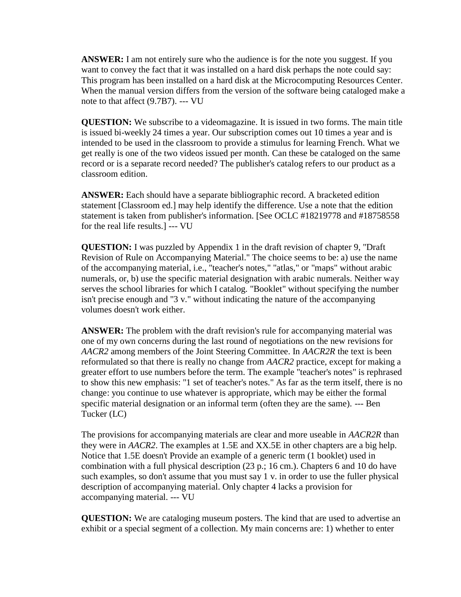**ANSWER:** I am not entirely sure who the audience is for the note you suggest. If you want to convey the fact that it was installed on a hard disk perhaps the note could say: This program has been installed on a hard disk at the Microcomputing Resources Center. When the manual version differs from the version of the software being cataloged make a note to that affect (9.7B7). --- VU

**QUESTION:** We subscribe to a videomagazine. It is issued in two forms. The main title is issued bi-weekly 24 times a year. Our subscription comes out 10 times a year and is intended to be used in the classroom to provide a stimulus for learning French. What we get really is one of the two videos issued per month. Can these be cataloged on the same record or is a separate record needed? The publisher's catalog refers to our product as a classroom edition.

**ANSWER:** Each should have a separate bibliographic record. A bracketed edition statement [Classroom ed.] may help identify the difference. Use a note that the edition statement is taken from publisher's information. [See OCLC #18219778 and #18758558 for the real life results.] --- VU

**QUESTION:** I was puzzled by Appendix 1 in the draft revision of chapter 9, "Draft Revision of Rule on Accompanying Material." The choice seems to be: a) use the name of the accompanying material, i.e., "teacher's notes," "atlas," or "maps" without arabic numerals, or, b) use the specific material designation with arabic numerals. Neither way serves the school libraries for which I catalog. "Booklet" without specifying the number isn't precise enough and "3 v." without indicating the nature of the accompanying volumes doesn't work either.

**ANSWER:** The problem with the draft revision's rule for accompanying material was one of my own concerns during the last round of negotiations on the new revisions for *AACR2* among members of the Joint Steering Committee. In *AACR2R* the text is been reformulated so that there is really no change from *AACR2* practice, except for making a greater effort to use numbers before the term. The example "teacher's notes" is rephrased to show this new emphasis: "1 set of teacher's notes." As far as the term itself, there is no change: you continue to use whatever is appropriate, which may be either the formal specific material designation or an informal term (often they are the same). --- Ben Tucker (LC)

The provisions for accompanying materials are clear and more useable in *AACR2R* than they were in *AACR2*. The examples at 1.5E and XX.5E in other chapters are a big help. Notice that 1.5E doesn't Provide an example of a generic term (1 booklet) used in combination with a full physical description (23 p.; 16 cm.). Chapters 6 and 10 do have such examples, so don't assume that you must say 1 v. in order to use the fuller physical description of accompanying material. Only chapter 4 lacks a provision for accompanying material. --- VU

**QUESTION:** We are cataloging museum posters. The kind that are used to advertise an exhibit or a special segment of a collection. My main concerns are: 1) whether to enter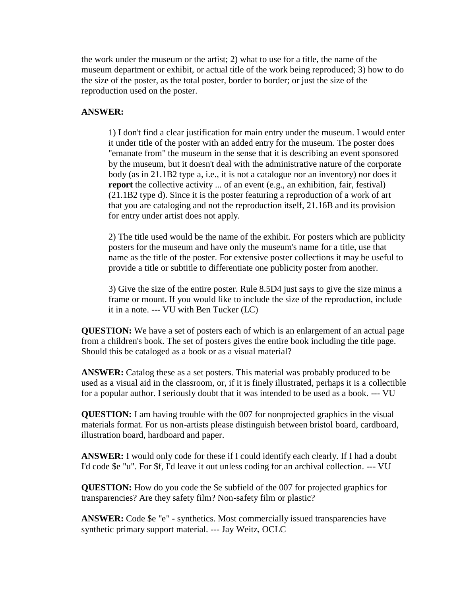the work under the museum or the artist; 2) what to use for a title, the name of the museum department or exhibit, or actual title of the work being reproduced; 3) how to do the size of the poster, as the total poster, border to border; or just the size of the reproduction used on the poster.

#### **ANSWER:**

1) I don't find a clear justification for main entry under the museum. I would enter it under title of the poster with an added entry for the museum. The poster does "emanate from" the museum in the sense that it is describing an event sponsored by the museum, but it doesn't deal with the administrative nature of the corporate body (as in 21.1B2 type a, i.e., it is not a catalogue nor an inventory) nor does it **report** the collective activity ... of an event (e.g., an exhibition, fair, festival) (21.1B2 type d). Since it is the poster featuring a reproduction of a work of art that you are cataloging and not the reproduction itself, 21.16B and its provision for entry under artist does not apply.

2) The title used would be the name of the exhibit. For posters which are publicity posters for the museum and have only the museum's name for a title, use that name as the title of the poster. For extensive poster collections it may be useful to provide a title or subtitle to differentiate one publicity poster from another.

3) Give the size of the entire poster. Rule 8.5D4 just says to give the size minus a frame or mount. If you would like to include the size of the reproduction, include it in a note. --- VU with Ben Tucker (LC)

**QUESTION:** We have a set of posters each of which is an enlargement of an actual page from a children's book. The set of posters gives the entire book including the title page. Should this be cataloged as a book or as a visual material?

**ANSWER:** Catalog these as a set posters. This material was probably produced to be used as a visual aid in the classroom, or, if it is finely illustrated, perhaps it is a collectible for a popular author. I seriously doubt that it was intended to be used as a book. --- VU

**QUESTION:** I am having trouble with the 007 for nonprojected graphics in the visual materials format. For us non-artists please distinguish between bristol board, cardboard, illustration board, hardboard and paper.

**ANSWER:** I would only code for these if I could identify each clearly. If I had a doubt I'd code \$e "u". For \$f, I'd leave it out unless coding for an archival collection. --- VU

**QUESTION:** How do you code the \$e subfield of the 007 for projected graphics for transparencies? Are they safety film? Non-safety film or plastic?

ANSWER: Code \$e "e" - synthetics. Most commercially issued transparencies have synthetic primary support material. --- Jay Weitz, OCLC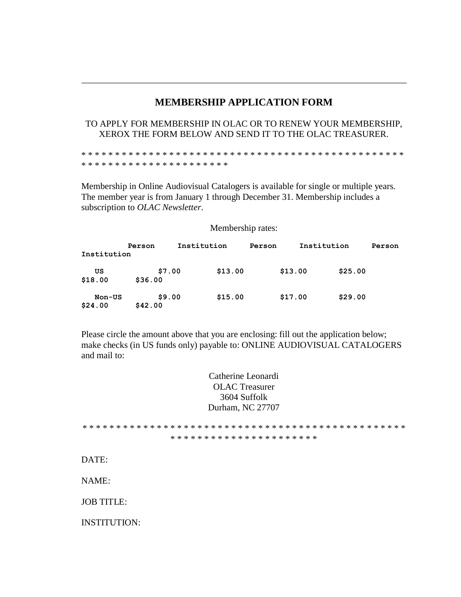### **MEMBERSHIP APPLICATION FORM**

#### TO APPLY FOR MEMBERSHIP IN OLAC OR TO RENEW YOUR MEMBERSHIP, XEROX THE FORM BELOW AND SEND IT TO THE OLAC TREASURER.

\* \* \* \* \* \* \* \* \* \* \* \* \* \* \* \* \* \* \* \* \* \* \* \* \* \* \* \* \* \* \* \* \* \* \* \* \* \* \* \* \* \* \* \* \* \* \* \* \* \* \* \* \* \* \* \* \* \* \* \* \* \* \* \* \* \* \* \* \* \*

Membership in Online Audiovisual Catalogers is available for single or multiple years. The member year is from January 1 through December 31. Membership includes a subscription to *OLAC Newsletter*.

#### Membership rates:

| Institution       | Person            | Institution | Person  | Institution | Person |
|-------------------|-------------------|-------------|---------|-------------|--------|
| US<br>\$18.00     | \$7.00<br>\$36.00 | \$13.00     | \$13.00 | \$25.00     |        |
| Non-US<br>\$24.00 | \$9.00<br>\$42.00 | \$15.00     | \$17.00 | \$29.00     |        |

Please circle the amount above that you are enclosing: fill out the application below; make checks (in US funds only) payable to: ONLINE AUDIOVISUAL CATALOGERS and mail to:

> Catherine Leonardi OLAC Treasurer 3604 Suffolk Durham, NC 27707

\* \* \* \* \* \* \* \* \* \* \* \* \* \* \* \* \* \* \* \* \* \* \* \* \* \* \* \* \* \* \* \* \* \* \* \* \* \* \* \* \* \* \* \* \* \* \* \*

\* \* \* \* \* \* \* \* \* \* \* \* \* \* \* \* \* \* \* \* \* \*

DATE:

NAME:

JOB TITLE:

INSTITUTION: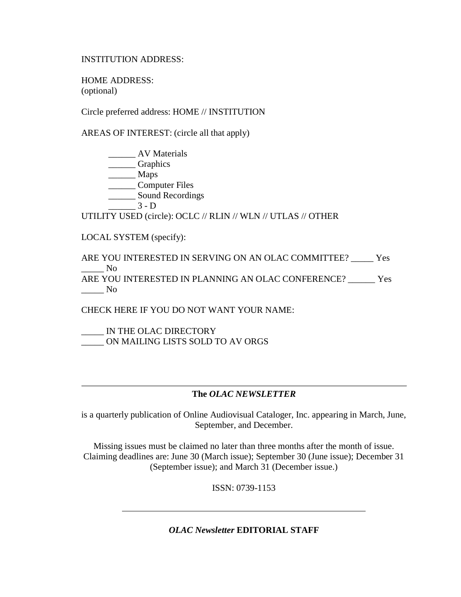#### INSTITUTION ADDRESS:

HOME ADDRESS: (optional)

Circle preferred address: HOME // INSTITUTION

AREAS OF INTEREST: (circle all that apply)

\_\_\_\_\_\_ AV Materials \_\_\_\_\_\_ Graphics  $\frac{Maps}{\sqrt{1-\frac{1}{n}}}$ \_\_\_\_\_\_ Computer Files \_\_\_\_\_\_ Sound Recordings  $3 - D$ UTILITY USED (circle): OCLC // RLIN // WLN // UTLAS // OTHER

LOCAL SYSTEM (specify):

ARE YOU INTERESTED IN SERVING ON AN OLAC COMMITTEE? \_\_\_\_\_ Yes  $\sim$  No ARE YOU INTERESTED IN PLANNING AN OLAC CONFERENCE? \_\_\_\_\_\_ Yes \_\_\_\_\_ No

CHECK HERE IF YOU DO NOT WANT YOUR NAME:

IN THE OLAC DIRECTORY \_\_\_\_\_ ON MAILING LISTS SOLD TO AV ORGS

### **The** *OLAC NEWSLETTER*

is a quarterly publication of Online Audiovisual Cataloger, Inc. appearing in March, June, September, and December.

Missing issues must be claimed no later than three months after the month of issue. Claiming deadlines are: June 30 (March issue); September 30 (June issue); December 31 (September issue); and March 31 (December issue.)

ISSN: 0739-1153

#### *OLAC Newsletter* **EDITORIAL STAFF**